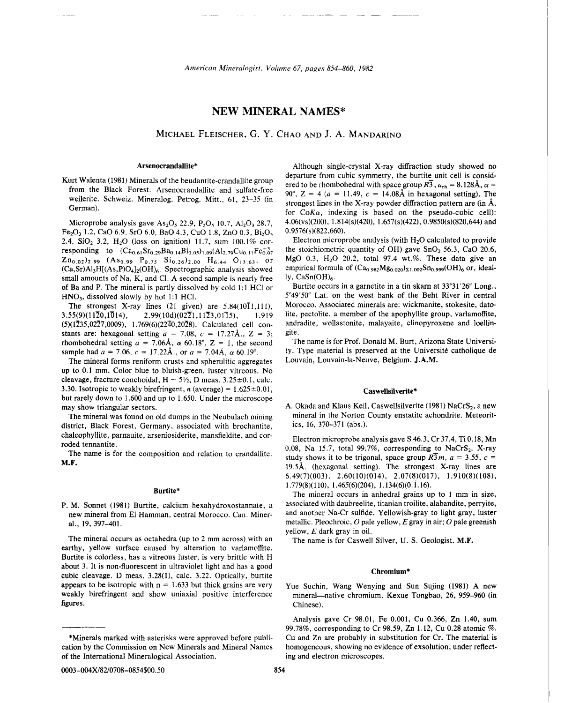# **NEW MINERAL NAMES\***

# MICHAEL FLEISCHER, G. Y. CHAO AND J. A. MANDARINO

Microprobe analysis gave  $As_2O_5$  22.9, P<sub>2</sub>O<sub>5</sub> 10.7, Al<sub>2</sub>O<sub>3</sub> 28.7,  $Fe<sub>2</sub>O<sub>3</sub> 1.2, CaO 6.9, SrO 6.0, BaO 4.3, CuO 1.8, ZnO 0.3, Bi<sub>2</sub>O<sub>3</sub>$ 2.4,  $SiO<sub>2</sub>$  3.2,  $H<sub>2</sub>O$  (loss on ignition) 11.7, sum 100.1% corresponding to  $(Ca_{0.61}Sr_{0.29}Ba_{0.14}Bi_{0.05})_{1.09}(Al_{2.79}Cu_{0.11}Fe_{0.07}^{+3})$  $\text{Zn}_{0.02}$ )<sub>2.99</sub> (As<sub>0.99</sub> P<sub>0.75</sub> Si<sub>0.26</sub>)<sub>2.00</sub> H<sub>6.44</sub> O<sub>13.63</sub>, or **(Ca,Sr)Al3H[(As,P)O4I2(0H),.** Spectrographic analysis showed small amounts of Na, K, and Cl. A second sample is nearly free of Ba and P. The mineral is partly dissolved by cold 1:l HCI or HN03, dissolved slowly by hot 1:1 HCI.

The strongest X-ray lines (21 given) are 5.84(10T1,111),<br>3.55(9)(1170.10T4),<br>2.99(10d)(0271.1173.0175) 1.919  $2.99(10d)(02\overline{2}1,11\overline{2}3,01\overline{1}5),$  1.919  $(5)(1\overline{2}35,02\overline{2}7,0009), 1.769(6)(2\overline{2}40,20\overline{2}8)$ . Calculated cell constants are: hexagonal setting  $a = 7.08$ ,  $c = 17.27\text{\AA}$ .,  $Z = 3$ ; rhombohedral setting  $a = 7.06\text{\AA}$ ,  $\alpha$  60.18°, Z = 1, the second sample had  $a = 7.06$ ,  $c = 17.22$ Å., or  $a = 7.04$ Å,  $\alpha$  60.19°.

The mineral forms reniform crusts and spherulitic aggregates up to 0.1 mm. Color blue to bluish-green, luster vitreous. No cleavage, fracture conchoidal,  $H \sim 5\frac{1}{2}$ , D meas. 3.25 ± 0.1, calc. 3.30. Isotropic to weakly birefringent, *n* (average) =  $1.625 \pm 0.01$ , but rarely down to 1.600 and up to 1.650. Under the microscope may show triangular sectors.

The mineral was found on old dumps in the Neubulach mining district, Black Forest, Germany, associated with brochantite,

#### Burtite\*

P. M. Sonnet (1981) Burtite, calcium hexahydroxostannate, a new mineral from El Hamman, central Morocco. Can. Mineral., 19, 397-401.

The mineral occurs as octahedra (up to 2 mm across) with an earthy, yellow surface caused by alteration to varlamoffite. Burtite is colorless, has a vitreous luster, is very brittle with H about 3. It is non-fluorescent in ultraviolet light and has a good cubic cleavage. D meas. 3.28(1), calc. 3.22. Optically, burtite appears to be isotropic with  $n = 1.633$  but thick grains are very weakly birefringent and show uniaxial positive interference figures.

Arsenocrandallite\* Although single-crystal X-ray diffraction study showed no<br>departure from cubic symmetry, the burtite unit cell is consid-Kurt Walenta (1981) Minerals of the beudantite-crandallite group<br>from the Black Forest: Arsenocrandallite and sulfate-free<br> $90^\circ$ ,  $Z = 4$  ( $a = 11.49$ ,  $c = 14.08\text{\AA}$  in hexagonal setting). The weilerite. Schweiz. Mineralog. Petrog. Mitt., 61, 23–35 (in strongest lines in the X-ray powder diffraction pattern are (in  $\AA$ , German). for  $CoK\alpha$ , indexing is based on the pseudo-cubic cell): 4.06(vs)(200), 1.814(s)(420), 1.657(s)(422), 0.9850(s)(820,644) and  $0.9576(s)(822,660)$ .

Electron microprobe analysis (with  $H<sub>2</sub>O$  calculated to provide the stoichiometric quantity of OH) gave  $SnO<sub>2</sub> 56.3$ , CaO 20.6, MgO 0.3,  $H<sub>2</sub>O$  20.2, total 97.4 wt.%. These data give an empirical formula of  $(Ca_{0.982}Mg_{0.020})_{\Sigma1.002}Sn_{0.999}(OH)_6$  or, ideally,  $CaSn(OH)<sub>6</sub>$ .

Burtite occurs in a garnetite in a tin skarn at 33°31'26" Long., 5°49'50" Lat. on the west bank of the Beht River in central Morocco. Associated minerals are: wickmanite, stokesite, datolite, pectolite, a member of the apophyllite group, varlamoffite, andradite, wollastonite, malayaite, clinopyroxene and loellingite.

The name is for Prof. Donald M. Burt, Arizona State University. Type material is preserved at the Université catholique de Louvain, Louvain-la-Neuve, Belgium. J.A.M.

# Caswellsilverite\*

A. Okada and Klaus Keil, Caswellsilverite (1981) NaCrS<sub>2</sub>, a new mineral in the Norton County enstatite achondrite. Meteoritics, 16, 370-371 (abs.).

chalcophyllite, paraauite, arseniosiderite, mansfieldite, and cor-<br>roded tennantite.<br>The name is for the composition and relation to crandallite.<br>M.F.<br> $\frac{3.57}{10.18}$ , Na 15.7, total 99.7%, corresponding to NaCrS<sub>2</sub>. X-r 19.5Å. (hexagonal setting). The strongest X-ray lines are 6.49(7)(003), 2.60(10)(014), 2.07(8)(017), 1.910(8)(108),  $1.779(8)(110), 1.465(6)(204), 1.134(6)(0.1.16).$ 

> The mineral occurs in anhedral grains up to 1 mm in size, associated with daubreelite, titanian troilite, alabandite, perryite, and another Na-Cr sulfide. Yellowish-gray to light gray, luster metallic. Pleochroic,  $O$  pale yellow,  $E$  gray in air;  $O$  pale greenish yellow, E dark gray in oil.

The name is for Caswell Silver, U. S. Geologist. M.F.

### Chromium\*

Yue Suchin, Wang Wenying and Sun Sujing (1981) A new mineral-native chromium. Kexue Tongbao, 26, 959-960 (in Chinese).

Analysis gave Cr 98.01, Fe 0.001, Cu 0.366, Zn 1.40, sum 99.78%, corresponding to Cr 98.59, Zn 1.12, Cu 0.28 atomic %. \*Minerals marked with asterisks were approved before publi- Cu and Zn are probably in substitution for Cr. The material is cation by the Commission on New Minerals and Mineral Names homogeneous, showing no evidence of exsolution, under reflect-

of the International Mineralogical Association. ing and electron microscopes.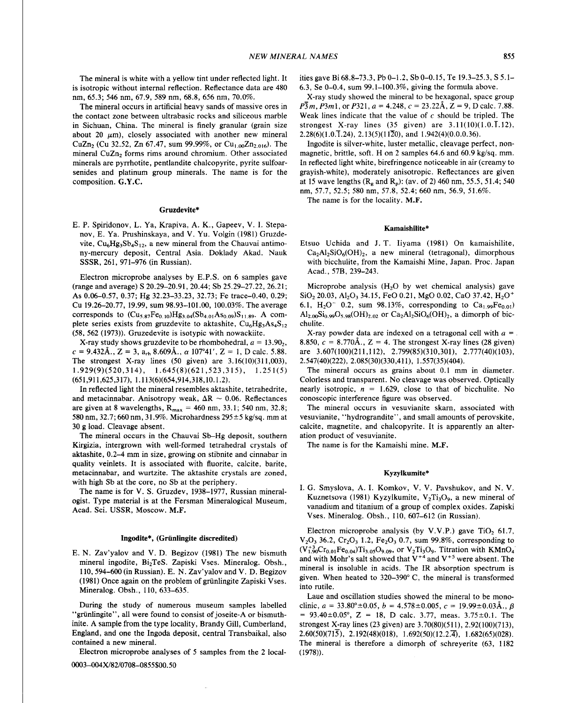The mineral is white with a yellow tint under reflected light. It is isotropic without internal reflection. Reflectance data are 480 nm, 65.3; 546 nm, 67.9, 589 nm, 68.8, 656 nm, 70.0%.

The mineral occurs in artificial heavy sands of massive ores in the contact zone between ultrabasic rocks and siliceous marble in Sichuan, China. The mineral is finely granular (grain size about 20  $\mu$ m), closely associated with another new mineral CuZn<sub>2</sub> (Cu 32.52, Zn 67.47, sum 99.99%, or Cu<sub>1.00</sub>Zn<sub>2.016</sub>). The mineral CuZn<sub>2</sub> forms rims around chromium. Other associated minerals are pyrrhotite, pentlandite chalcopyrite, pyrite sulfoarsenides and platinum group minerals. The name is for the composition. G.Y.C.

# Gruzdevite\*

E. P. Spiridonov, L. Ya, Krapiva, A. K., Gapeev, V. I. Stepanov, E. Ya. Prushinskaya, and V. Yu. Volgin (1981) Gruzdevite,  $Cu<sub>6</sub>Hg<sub>3</sub>Sb<sub>4</sub>S<sub>12</sub>$ , a new mineral from the Chauvai antimony-mercury deposit, Central Asia. Doklady Akad. Nauk SSSR, 261, 971-976 (in Russian).

Electron microprobe analyses by E.P.S. on 6 samples gave (range and average) S 20.29-20.91,20.44; Sb 25.29-27.22, 26.2 1 ; As 0.06-0.57, 0.37; Hg 32.23-33.23, 32.73; Fe trace-0.40, 0.29; Cu 19.26-20.77, 19.99, sum 98.93-101.00, 100.03%. The average corresponds to  $(Cu_{5.87}Fe_{0.10})Hg_{3.04}(Sb_{4.01}As_{0.09})S_{11.89}$ . A complete series exists from gruzdevite to aktashite,  $Cu<sub>6</sub>Hg<sub>3</sub>As<sub>4</sub>S<sub>12</sub>$ (58, 562 (1973)). Gruzedevite is isotypic with nowackiite.

X-ray study shows gruzdevite to be rhombohedral,  $a = 13.90<sub>2</sub>$ ,  $c = 9.432$ Å.,  $Z = 3$ ,  $a_{rb} 8.609$ Å.,  $\alpha$  107°41′,  $Z = 1$ , D calc. 5.88. The strongest X-ray lines (50 given) are 3.16(10)(311,003), 1.929(9)(520,314), 1.645(8)(621,523,315), 1.251(5) (651,911,625,317), **1.113(6)(654,914,318,10.1.2).** 

In reflected light the mineral resembles aktashite, tetrahedrite, and metacinnabar. Anisotropy weak,  $\Delta R \sim 0.06$ . Reflectances are given at 8 wavelengths,  $R_{max} = 460$  nm, 33.1; 540 nm, 32.8; 580 nm, 32.7; 660 nm, 31.9%. Microhardness  $295 \pm 5$  kg/sq. mm at 30 g load. Cleavage absent.

The mineral occurs in the Chauvai Sb-Hg deposit, southern Kirgizia, intergrown with well-formed tetrahedral crystals of aktashite, 0.2-4 mm in size, growing on stibnite and cinnabar in quality veinlets. It is associated with fluorite, calcite, barite, metacinnabar, and wurtzite. The aktashite crystals are zoned, with high Sb at the core, no Sb at the periphery.

The name is for V. S. Gruzdev, 1938-1977, Russian mineralogist. Type material is at the Fersman Mineralogical Museum, Acad. Sci. USSR, Moscow. **M.F.** 

# Ingodite\*, (Griinlingite discredited)

E. N. Zav'yalov and V. D. Begizov (1981) The new bismuth mineral ingodite, Bi2TeS. Zapiski Vses. Mineralog. Obsh., 110,594-600 (in Russian). E. N. Zav'yalov and V. D. Begizov (1981) Once again on the problem of griinlingite Zapiski Vses. Mineralog. Obsh., 110, 633-635.

During the study of numerous museum samples labelled "grünlingite", all were found to consist of joseite-A or bismuthinite. A sample from the type locality, Brandy Gill, Cumberland, England, and one the Ingoda deposit, central Transbaikal, also contained a new mineral.

Electron microprobe analyses of 5 samples from the 2 local-

**0003-004X/82/0708-0855\$00.50** 

ities gave Bi 68.8-73.3, Pb 0-1.2, Sb 0-0.15, Te 19.3-25.3, S 5.1- 6.3, Se 0-0.4, sum 99.1-100.3%, giving the formula above.

X-ray study showed the mineral to be hexagonal, space group  $\overline{P3}m$ ,  $\overline{P3}m1$ , or  $\overline{P3}21$ ,  $a=4.248$ ,  $c=23.22\text{\AA}$ ,  $Z=9$ , D calc. 7.88. Weak lines indicate that the value of  $c$  should be tripled. The strongest X-ray lines  $(35 \text{ given})$  are  $3.11(10)(1.0.\overline{1.12})$ ,  $2.28(6)(1.0.\overline{1}.24), 2.13(5)(11\overline{2}0),$  and  $1.942(4)(0.0.0.36)$ .

Ingodite is silver-white, luster metallic, cleavage perfect, nonmagnetic, brittle, soft. H on 2 samples  $64.6$  and  $60.9$  kg/sq. mm. In reflected light white, birefringence noticeable in air (creamy to grayish-white), moderately anisotropic. Reflectances are given at 15 wave lengths ( $R_g$  and  $R_p$ ): (av. of 2) 460 nm, 55.5, 51.4; 540 nm, 57.7, 52.5; 580 nm, 57.8, 52.4; 660 nm, 56.9, 51.6%.

The name is for the locality. M.F.

# Kamaishilite\*

Etsuo Uchida and J. T. Iiyama (1981) On kamaishilite,  $Ca<sub>2</sub>Al<sub>2</sub>SiO<sub>6</sub>(OH)<sub>2</sub>$ , a new mineral (tetragonal), dimorphous with bicchulite, from the Kamaishi Mine, Japan. Proc. Japan Acad., 57B, 239-243.

Microprobe analysis  $(H<sub>2</sub>O$  by wet chemical analysis) gave SiO<sub>2</sub> 20.03, Al<sub>2</sub>O<sub>3</sub> 34.15, FeO 0.21, MgO 0.02, CaO 37.42, H<sub>2</sub>O<sup>+</sup> 6.1,  $H_2O^-$  0.2, sum 98.13%, corresponding to  $Ca_{1.99}Fe_{0.01}$  $\text{Al}_{2.00}\text{Si}_{0.99}\text{O}_{5.98}(\text{OH})_{2.02}$  or  $\text{Ca}_{2}\text{Al}_{2}\text{SiO}_{6}(\text{OH})_{2}$ , a dimorph of bicchulite.

X-ray powder data are indexed on a tetragonal cell with  $a =$ 8.850,  $c = 8.770$ Å.,  $Z = 4$ . The strongest X-ray lines (28 given) are 3.607(100)(211,112), 2.799(85)(310,301), 2.777(40)(103), 2.547(40)(222), 2.085(30)(330,41 l), 1.557(35)(404).

The mineral occurs as grains about 0.1 mm in diameter. Colorless and transparent. No cleavage was observed. Optically nearly isotropic,  $n = 1.629$ , close to that of bicchulite. No conoscopic interference figure was observed.

The mineral occurs in vesuvianite skarn, associated with vesuvianite, "hydrograndite", and small amounts of perovskite, calcite, magnetite, and chalcopyrite. It is apparently an alteration product of vesuvianite.

The name is for the Kamaishi mine. **M.F.** 

### Kyzylkumite\*

I. G. Smyslova, A. I. Komkov, V. V. Pavshukov, and N. V. Kuznetsova (1981) Kyzylkumite, V<sub>2</sub>Ti<sub>3</sub>O<sub>9</sub>, a new mineral of vanadium and titanium of a group of complex oxides. Zapiski Vses. Mineralog. Obsh., 1 10, 607-612 (in Russian).

Electron microprobe analysis (by V.V.P.) gave TiO<sub>2</sub> 61.7,  $V_2O_3$  36.2,  $Cr_2O_3$  1.2,  $Fe_2O_3$  0.7, sum 99.8%, corresponding to  $(V_{1.90}^{+3}Cr_{0.01}Fe_{0.04})Ti_{3.05}O_{9.09}$ , or  $V_2Ti_3O_9$ . Titration with KMnO<sub>4</sub> and with Mohr's salt showed that  $V^{+4}$  and  $V^{+5}$  were absent. The mineral is insoluble in acids. The IR absorption spectrum is given. When heated to 320-390' C, the mineral is transformed into rutile.

Laue and oscillation studies showed the mineral to be monoclinic,  $a = 33.80^{\circ} \pm 0.05$ ,  $b = 4.578 \pm 0.005$ ,  $c = 19.99 \pm 0.03$  Å.,  $\beta = 93.40 \pm 0.05^{\circ}$ ,  $Z = 18$ , D calc. 3.77, meas. 3.75  $\pm$ 0.1. The strongest X-ray lines (23 given) are 3.70(80)(51 I), 2.92(100)(713), 2.60(50)(715), 2.192(48)(018), 1.692(50)(12.2.4), 1.682(65)(028). The mineral is therefore a dimorph of schreyerite (63, 1182 (1978)).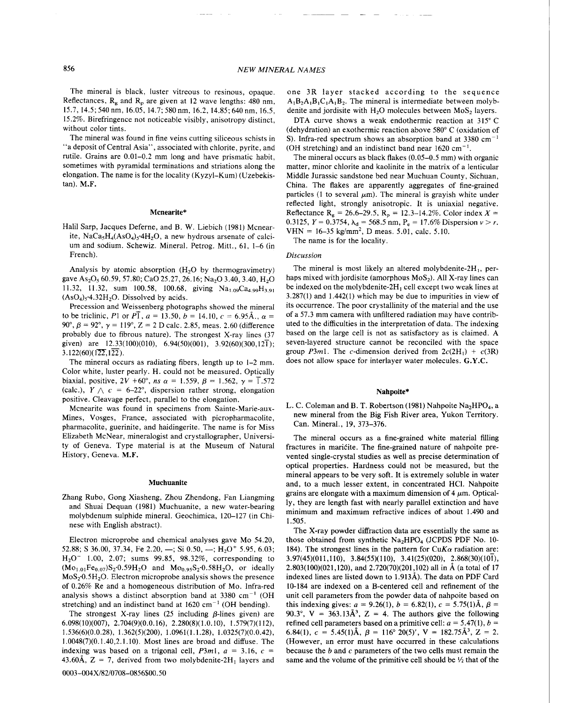The mineral is black, luster vitreous to resinous, opaque. Reflectances,  $R_e$  and  $R_p$  are given at 12 wave lengths: 480 nm, 15.7, 14.5; 540 nm, 16.05, 14.7; 580 nm, 16.2, 14.85; 640 nm, 16.5, 15.2%. Birefringence not noticeable visibly, anisotropy distinct, without color tints.

The mineral was found in fine veins cutting siliceous schists in "a deposit of Central Asia", associated with chlorite, pyrite, and rutile. Grains are 0.01-0.2 mm long and have prismatic habit, sometimes with pyramidal terminations and striations along the elongation. The name is for the locality (Kyzyl-Kum) (Uzebekistan). **M.F.** 

# **Mcnearite\***

Halil Sarp, Jacques Deferne, and B. W. Liebich (1981) Mcnearite, NaCa<sub>s</sub>H<sub>4</sub>(AsO<sub>4</sub>),.4H<sub>2</sub>O, a new hydrous arsenate of calcium and sodium. Schewiz. Mineral. Petrog. Mitt., 61, 1-6 (in French).

Analysis by atomic absorption  $(H<sub>2</sub>O)$  by thermogravimetry) gave As<sub>2</sub>O<sub>s</sub> 60.59, 57.80; CaO 25.27, 26.16; Na<sub>2</sub>O 3.40, 3.40, H<sub>2</sub>O 11.32, 11.32, sum 100.58, 100.68, giving  $Na<sub>1.09</sub>Ca<sub>4.99</sub>H<sub>3.91</sub>$  $(AsO<sub>4</sub>)<sub>5</sub>$ -4.32H<sub>2</sub>O. Dissolved by acids.

Precession and Weissenberg photographs showed the mineral to be triclinic, P1 or  $P\bar{1}$ ,  $a = 13.50$ ,  $b = 14.10$ ,  $c = 6.95\text{\AA}$ .,  $\alpha =$ 90°,  $\beta$  = 92°,  $\gamma$  = 119°, Z = 2 D calc. 2.85, meas. 2.60 (difference probably due to fibrous nature). The strongest X-ray lines (37 given) are  $12.33(100)(010)$ ,  $6.94(50)(001)$ ,  $3.92(60)(300,12\overline{1})$ ;  $3.122(60)(1\overline{22}, 1\overline{22})$ .

The mineral occurs as radiating fibers, length up to 1-2 mm. Color white, luster pearly. H. could not be measured. Optically biaxial, positive,  $2V + 60^{\circ}$ , *ns*  $\alpha = 1.559$ ,  $\beta = 1.562$ ,  $\gamma = \overline{1.572}$ (calc.),  $Y \wedge c = 6-22^{\circ}$ , dispersion rather strong, elongation positive. Cleavage perfect, parallel to the elongation.

Mcnearite was found in specimens from Sainte-Marie-aux-Mines, Vosges, France, associated with picropharmacolite, pharmacolite, guerinite, and haidingerite. The name is for Miss Elizabeth McNear, mineralogist and crystallographer, University of Geneva. Type material is at the Museum of Natural History, Geneva. M.F.

### **Muchuanite**

Zhang Rubo, Gong Xiasheng, Zhou Zhendong, Fan Liangming and Shuai Dequan (1981) Muchuanite, a new water-bearing molybdenum sulphide mineral. Geochimica, 120-127 (in Chinese with English abstract).

Electron microprobe and chemical analyses gave Mo 54.20, 52.88; S 36.00, 37.34, Fe 2.20, -; Si 0.50, -; H<sub>2</sub>O<sup>+</sup> 5.95, 6.03;  $H_2O^-$  1.00, 2.07; sums 99.85, 98.32%, corresponding to  $(Mo_{1.01}Fe_{0.07})S_2.0.59H_2O$  and  $Mo_{0.95}S_2.0.58H_2O$ , or ideally  $MoS<sub>2</sub>·0.5H<sub>2</sub>O$ . Electron microprobe analysis shows the presence of 0.26% Re and a homogeneous distribution of Mo. Infra-red analysis shows a distinct absorption band at 3380  $cm^{-1}$  (OH stretching) and an indistinct band at  $1620 \text{ cm}^{-1}$  (OH bending).

The strongest X-ray lines  $(25 \text{ including } \beta\text{-lines given})$  are 6.098(10)(007), 2.704(9)(0.0.16), 2.280(8)(1 .O. lo), 1.579(7)(112), 1.536(6)(0.0.28), 1.362(5)(200), 1.0961(1.1.28), 1.0325(7)(0.0.42), 1.0048(7)(0.1.40,2.1.10). Most lines are broad and diffuse. The indexing was based on a trigonal cell,  $P3m1$ ,  $a = 3.16$ ,  $c =$ 43.60Å,  $Z = 7$ , derived from two molybdenite-2H<sub>1</sub> layers and one 3R layer stacked according to the sequence  $A_1B_2A_1B_1C_1A_1B_2$ . The mineral is intermediate between molybdenite and jordisite with  $H<sub>2</sub>O$  molecules between MoS<sub>2</sub> layers.

DTA curve shows a weak endothermic reaction at 315° C (dehydration) an exothermic reaction above 580" C (oxidation of S). Infra-red spectrum shows an absorption band at  $3380 \text{ cm}^{-1}$ (OH stretching) and an indistinct band near  $1620 \text{ cm}^{-1}$ .

The mineral occurs as black flakes (0.05-0.5 mm) with organic matter, minor chlorite and kaolinite in the matrix of a lenticular Middle Jurassic sandstone bed near Muchuan County, Sichuan, China. The flakes are apparently aggregates of fine-grained particles (1 to several  $\mu$ m). The mineral is grayish white under reflected light, strongly anisotropic. It is uniaxial negative. Reflectance R<sub>e</sub> = 26.6–29.5, R<sub>p</sub> = 12.3–14.2%. Color index X = 0.3125,  $Y = 0.3754$ ,  $\lambda_d = 568.5$  nm,  $P_e = 17.6\%$  Dispersion  $v > r$ . VHN =  $16-35$  kg/mm<sup>2</sup>, D meas. 5.01, calc. 5.10.

The name is for the locality.

# *Discussion*

The mineral is most likely an altered molybdenite- $2H_1$ , perhaps mixed with jordisite (amorphous  $MoS<sub>2</sub>$ ). All X-ray lines can be indexed on the molybdenite- $2H_1$  cell except two weak lines at 3.287(1) and 1.442(1) which may be due to impurities in view of its occurrence. The poor crystallinity of the material and the use of a 57.3 mm camera with unfiltered radiation may have contributed to the difficulties in the interpretation of data. The indexing based on the large cell is not as satisfactory as is claimed. A seven-layered structure cannot be reconciled with the space group P3m1. The c-dimension derived from  $2c(2H_1) + c(3R)$ does not allow space for interlayer water molecules. G.Y.C.

#### **Nahpoite\***

L. C. Coleman and B. T. Robertson (1981) Nahpoite Na<sub>2</sub>HPO<sub>4</sub>, a new mineral from the Big Fish River area, Yukon Territory. Can. Mineral., 19, 373-376.

The mineral occurs as a fine-grained white material filling fractures in maricite. The fine-grained nature of nahpoite prevented single-crystal studies as well as precise determination of optical properties. Hardness could not be measured, but the mineral appears to be very soft. It is extremely soluble in water and, to a much lesser extent, in concentrated HCI. Nahpoite grains are elongate with a maximum dimension of  $4 \mu$ m. Optically, they are length fast with nearly parallel extinction and have minimum and maximum refractive indices of about 1.490 and 1.505.

The X-ray powder diffraction data are essentially the same as those obtained from synthetic  $Na<sub>2</sub>HPO<sub>4</sub>$  (JCPDS PDF No. 10-184). The strongest lines in the pattern for CuK $\alpha$  radiation are:  $3.97(45)(011,110)$ ,  $3.84(55)(110)$ ,  $3.41(25)(020)$ ,  $2.868(30)(101)$ , 2.803(100)(021,120), and 2.720(70)(201,102) all in **A** (a total of 17 indexed lines are listed down to 1.913A). The data on PDF Card 10-184 are indexed on a B-centered cell and refinement of the unit cell parameters from the powder data of nahpoite based on this indexing gives:  $a = 9.26(1)$ ,  $b = 6.82(1)$ ,  $c = 5.75(1)$ Å,  $\beta =$ 90.3°, V = 363.13 $\AA$ <sup>3</sup>, Z = 4. The authors give the following refined cell parameters based on a primitive cell:  $a = 5.47(1)$ ,  $b =$ 6.84(1),  $c = 5.45(1)$ Å,  $\beta = 116^{\circ}$  20(5)',  $V = 182.75$ Å<sup>3</sup>, Z = 2. (However, an error must have occurred in these calculations because the  $b$  and  $c$  parameters of the two cells must remain the same and the volume of the primitive cell should be  $\frac{1}{2}$  that of the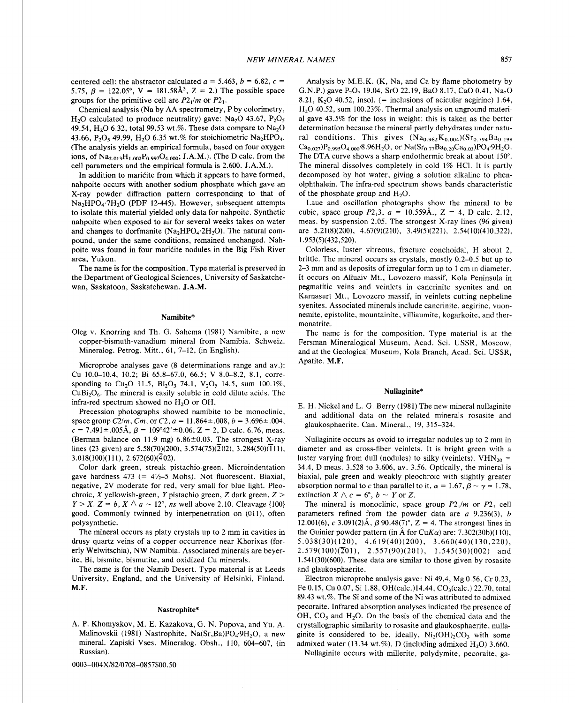centered cell; the abstractor calculated  $a = 5.463$ ,  $b = 6.82$ ,  $c =$ 5.75,  $\beta = 122.05^{\circ}$ ,  $V = 181.58\AA^{3}$ ,  $Z = 2$ .) The possible space groups for the primitive cell are  $P2_1/m$  or  $P2_1$ .

Chemical analysis (Na by AA spectrometry, P by colorimetry, H<sub>2</sub>O calculated to produce neutrality) gave: Na<sub>2</sub>O 43.67, P<sub>2</sub>O<sub>5</sub> 49.54, H<sub>2</sub>O 6.32, total 99.53 wt.%. These data compare to  $Na<sub>2</sub>O$ 43.66, P<sub>2</sub>O<sub>5</sub> 49.99, H<sub>2</sub>O 6.35 wt.% for stoichiometric Na<sub>2</sub>HPO<sub>4</sub>. (The analysis yields an empirical formula, based on four oxygen ions, of  $Na_{2.013}H_{1.002}P_{0.997}O_{4.000}$ ; J.A.M.). (The D calc. from the cell parameters and the empirical formula is 2.600. J.A.M.).

In addition to maricite from which it appears to have formed, nahpoite occurs with another sodium phosphate which gave an X-ray powder diffraction pattern corresponding to that of  $Na<sub>2</sub>HPO<sub>4</sub>·7H<sub>2</sub>O$  (PDF 12-445). However, subsequent attempts to isolate this material yielded only data for nahpoite. Synthetic nahpoite when exposed to air for several weeks takes on water and changes to dorfmanite  $(Na<sub>2</sub>HPO<sub>4</sub>·2H<sub>2</sub>O)$ . The natural compound, under the same conditions, remained unchanged. Nahpoite was found in four maricite nodules in the Big Fish River area, Yukon.

The name is for the composition. Type material is preserved in the Department of Geological Sciences, University of Saskatchewan, Saskatoon, Saskatchewan. J.A.M.

# **Namibite\***

Oleg v. Knorring and Th. G. Sahema (1981) Namibite, a new copper-bismuth-vanadium mineral from Namibia. Schweiz. Mineralog. Petrog. Mitt., 61, 7-12, (in English).

Microprobe analyses gave (8 determinations range and av.): Cu 10.0-10.4, 10.2; Bi 65.8-67.0, 66.5; V 8.0-8.2, 8.1, corresponding to Cu<sub>2</sub>O 11.5, Bi<sub>2</sub>O<sub>3</sub> 74.1, V<sub>2</sub>O<sub>5</sub> 14.5, sum 100.1%,  $CuBi<sub>2</sub>O<sub>6</sub>$ . The mineral is easily soluble in cold dilute acids. The infra-red spectrum showed no  $H_2O$  or OH.

Precession photographs showed namibite to be monoclinic, space group  $C2/m$ ,  $Cm$ , or  $C2$ ,  $a = 11.864 \pm .008$ ,  $b = 3.696 \pm .004$ ,  $c = 7.491 \pm .005 \text{\AA}$ ,  $\beta = 109^{\circ}42' \pm 0.06$ ,  $Z = 2$ , D calc. 6.76, meas. (Berman balance on 11.9 mg)  $6.86 \pm 0.03$ . The strongest X-ray lines (23 given) are 5.58(70)(200), 3.574(75)( $\overline{2}$ 02), 3.284(50)( $\overline{1}$ 11),  $3.018(100)(111)$ ,  $2.672(60)(402)$ .

Color dark green, streak pistachio-green. Microindentation gave hardness  $473$  (=  $4\frac{1}{2}$ -5 Mohs). Not fluorescent. Biaxial, negative, 2V moderate for red, very small for blue light. Pleochroic, X vellowish-green, Y pistachio green,  $Z$  dark green,  $Z >$  $Y > X$ .  $Z = b$ ,  $X \wedge a \sim 12^{\circ}$ , *ns* well above 2.10. Cleavage {100} good. Commonly twinned by interpenetration on (011), often polysynthetic.

The mineral occurs as platy crystals up to 2 mm in cavities in drusy quartz veins of a copper occurrence near Khorixas (forerly Welwitschia), NW Namibia. Associated minerals are beyerite, Bi, bismite, bismutite, and oxidized Cu minerals.

The name is for the Namib Desert. Type material is at Leeds University, England, and the University of Helsinki, Finland. **M.F.** 

# **Nastrophite\***

A. P. Khomyakov, M. E. Kazakova, G. N. Popova, and Yu. A. Malinovskii (1981) Nastrophite, Na(Sr,Ba)PO<sub>4</sub>.9H<sub>2</sub>O, a new mineral. Zapiski Vses. Mineralog. Obsh., 110, 604-607, (in Russian).

**0003-004X182/0708-0857\$00.50** 

Analysis by M.E.K. (K, Na, and Ca by flame photometry by G.N.P.) gave  $P_2O_5$  19.04, SrO 22.19, BaO 8.17, CaO 0.41, Na<sub>2</sub>O 8.21, K<sub>2</sub>O 40.52, insol. (= inclusions of acicular aegirine) 1.64, H20 40.52, sum 100.23%. Thermal analysis on unground material gave 43.5% for the loss in weight; this is taken as the better determination because the mineral partly dehydrates under natural conditions. This gives  $(Na_{0.982}K_{0.004})(Sr_{0.794}Ba_{0.198})$  $Ca_{0.027}P_{0.995}O_{4.000}$ <sup>.</sup>8.96H<sub>2</sub>O, or  $Na(Sr_{0.77}Ba_{0.20}Ca_{0.03})PO_{4}$ .9H<sub>2</sub>O. The DTA curve shows a sharp endothermic break at about 150°. The mineral dissolves completely in cold 1% HC1. It is partly decomposed by hot water, giving a solution alkaline to phenolphthalein. The infra-red spectrum shows bands characteristic of the phosphate group and  $H_2O$ .

Laue and oscillation photographs show the mineral to be cubic, space group  $P2_13$ ,  $a = 10.559\text{\AA}$ .,  $Z = 4$ , D calc. 2.12, meas. by suspension 2.05. The strongest X-ray lines (96 given) are  $5.21(8)(200)$ ,  $4.67(9)(210)$ ,  $3.49(5)(221)$ ,  $2.54(10)(410,322)$ , 1.953(5)(432,520).

Colorless, luster vitreous, fracture conchoidal, H about 2, brittle. The mineral occurs as crystals, mostly 0.2-0.5 but up to 2-3 mm and as deposits of irregular form up to 1 cm in diameter. It occurs on Alluaiv Mt., Lovozero massif, Kola Peninsula in pegmatitic veins and veinlets in cancrinite syenites and on Karnasurt Mt., Lovozero massif, in veinlets cutting nepheline syenites. Associated minerals include cancrinite, aegirine, vuonnemite, epistolite, mountainite, villiaumite, kogarkoite, and thermonatrite.

The name is for the composition. Type material is at the Fersman Mineralogical Museum, Acad. Sci. USSR, Moscow, and at the Geological Museum, Kola Branch, Acad. Sci. USSR, Apatite. **M.F.** 

### **Nullaginite\***

E. H. Nickel and L. G. Berry (1981) The new mineral nullaginite and additional data on the related minerals rosasite and glaukosphaerite. Can. Mineral., 19, 315-324.

Nullaginite occurs as ovoid to irregular nodules up to 2 mm in diameter and as cross-fiber veinlets. It is bright green with a luster varying from dull (nodules) to silky (veinlets). VHN<sub>20</sub> = 34.4, D meas. 3.528 to 3.606, av. 3.56. Optically, the mineral is biaxial, pale green and weakly pleochroic with slightly greater absorption normal to *c* than parallel to it,  $\alpha = 1.67$ ,  $\beta \sim \gamma = 1.78$ , extinction  $X \wedge c = 6^{\circ}$ ,  $b \sim Y$  or Z.

The mineral is monoclinic, space group  $P2_1/m$  or  $P2_1$ , cell parameters refined from the powder data are  $a$  9.236(3),  $b$ 12.001(6), *c* 3.091(2) $\AA$ ,  $\beta$  90.48(7)°,  $Z = 4$ . The strongest lines in the Guinier powder pattern (in  $\hat{A}$  for Cu $K\alpha$ ) are: 7.302(30b)(110), 5.038(30)(120), 4.619(40)(200), 3.660(40)(130,220),  $2.579(100)(\overline{2}01)$ ,  $2.557(90)(201)$ ,  $1.545(30)(002)$  and 1.541(30)(600). These data are similar to those given by rosasite and glaukosphaerite.

Electron microprobe analysis gave: Ni 49.4, Mg 0.56, Cr 0.23, Fe 0.15, Cu 0.07, Si 1.88, OH(calc.)14.44, CO,(calc.) 22.70, total 89.43 wt.%. The Si and some of the Ni was attributed to admixed pecoraite. Infrared absorption analyses indicated the presence of OH,  $CO<sub>3</sub>$  and  $H<sub>2</sub>O$ . On the basis of the chemical data and the crystallographic similarity to rosasite and glaukosphaerite, nullaginite is considered to be, ideally,  $Ni<sub>2</sub>(OH)<sub>2</sub>CO<sub>3</sub>$  with some admixed water (13.34 wt.%). D (including admixed  $H_2O$ ) 3.660.

Nullaginite occurs with millerite, polydymite, pecoraite, ga-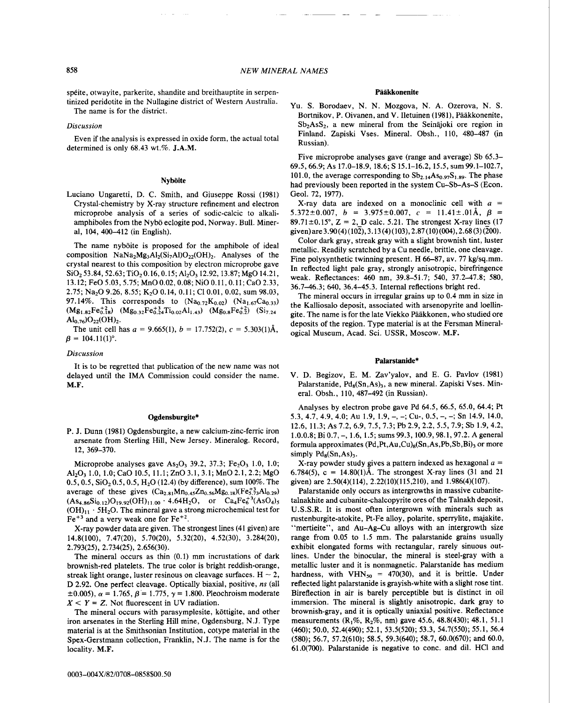spéite, otwayite, parkerite, shandite and breithauptite in serpentinized peridotite in the Nullagine district of Western Australia.

The name is for the district.

# *Discussion*

Even if the analysis is expressed in oxide form, the actual total determined is only 68.43 wt.%. **J.A.M.** 

# **Nyboite**

Luciano Ungaretti, D. C. Smith, and Giuseppe Rossi (1981) Crystal-chemistry by X-ray structure refinement and electron microprobe analysis of a series of sodic-calcic to alkaliamphiboles from the Nybo eclogite pod, Norway. Bull. Mineral, 104, 400-412 (in English).

The name nyboite is proposed for the amphibole of ideal composition  $NaNa<sub>2</sub>Mg<sub>3</sub>Al<sub>2</sub>(Si<sub>7</sub>Al)O<sub>22</sub>(OH)<sub>2</sub>$ . Analyses of the crystal nearest to this composition by electron microprobe gave SiO<sub>2</sub>53.84, 52.63; TiO<sub>2</sub> 0.16, 0.15; Al<sub>2</sub>O<sub>3</sub> 12.92, 13.87; MgO 14.21, **13.12;FeO5.03,5.75;MnO0.02,0.08;NiO0.11,0.11;CaO2.33,**  2.75; Na<sub>2</sub>O 9.26, 8.55; K<sub>2</sub>O 0.14, 0.11; Cl 0.01, 0.02, sum 98.03, 97.14%. This corresponds to  $(Na_{0.72}K_{0.02})$   $(Na_{1.67}Ca_{0.33})$  $(Mg_{1.82}Fe_{0.18}^{+2})$   $(Mg_{0.32}Fe_{0.24}^{+3}Ti_{0.02}Al_{1.43})$   $(Mg_{0.8}Fe_{0.2}^{+2})$   $(Si_{7.24}$  $Al_{0.76}$ ) $O_{22}(OH)_{2}$ .

The unit cell has  $a = 9.665(1)$ ,  $b = 17.752(2)$ ,  $c = 5.303(1)$ Å,  $\beta = 104.11(1)$ °.

# *Discussion*

It is to be regretted that publication of the new name was not delayed until the IMA Commission could consider the name. **M.F.** 

#### **Ogdensburgite\***

P. J. Dunn (1981) Ogdensburgite, a new calcium-zinc-ferric iron arsenate from Sterling Hill, New Jersey. Mineralog. Record, 12, 369-370.

Microprobe analyses gave  $As_2O_3$  39.2, 37.3; Fe<sub>2</sub>O<sub>3</sub> 1.0, 1.0; 1.0, 1.0;CaO 10.5, **11.1;ZnO3.1,3.1;MnO2.1,2.2;MgO**  0.5, 0.5,  $SiO<sub>2</sub> 0.5$ , 0.5,  $H<sub>2</sub>O$  (12.4) (by difference), sum 100%. The average of these gives  $(Ca_{2.81}Mn_{0.45}Zn_{0.56}Mg_{0.18})(Fe_{5.73}^{+3}Al_{0.29})$  $(As<sub>4.86</sub>Si<sub>0.12</sub>)O<sub>19.92</sub>(OH)<sub>11.00</sub> · 4.64H<sub>2</sub>O, or Ca<sub>4</sub>Fe<sup>+3</sup><sub>6</sub>(AsO<sub>4</sub>)<sub>5</sub>$  $(OH)_{11} \cdot 5H_2O$ . The mineral gave a strong microchemical test for  $Fe<sup>+3</sup>$  and a very weak one for  $Fe<sup>+2</sup>$ .

X-ray powder data are given. The strongest lines (41 given) are 14.8(100), 7.47(20), 5.70(20), 5.32(20), 4.52(30), 3.284(20), 2.793(25), 2.734(25), 2.656(30).

The mineral occurs as thin (0.1) mm incrustations of dark brownish-red platelets. The true color is bright reddish-orange, streak light orange, luster resinous on cleavage surfaces.  $H \sim 2$ , D 2.92. One perfect cleavage. Optically biaxial, positive, *ns* (all  $\pm 0.005$ ,  $\alpha = 1.765$ ,  $\beta = 1.775$ ,  $\gamma = 1.800$ . Pleochroism moderate  $X \leq Y = Z$ . Not fluorescent in UV radiation.

The mineral occurs with parasymplesite, köttigite, and other iron arsenates in the Sterling Hill mine, Ogdensburg, N.J. Type material is at the Smithsonian Institution, cotype material in the Spex-Gerstmann collection, Franklin, N.J. The name is for the locality. **M.F.** 

Yu. S. Borodaev, N. N. Mozgova, N. A. Ozerova, N. S. Bortnikov, P. Oivanen, and V. Iletuinen (1981), Pääkkonenite,  $Sb<sub>2</sub>AsS<sub>2</sub>$ , a new mineral from the Seinajoki ore region in Finland. Zapiski Vses. Mineral. Obsh., 110, 480-487 (in Russian).

Five microprobe analyses gave (range and average) Sb 65.3- 69.5,66.9; As 17.0-18.9, 18.6; S 15.1-16.2,15.5, sum99.1-102.7, 101.0, the average corresponding to  $Sb_{2,14}As_{0.97}S_{1.89}$ . The phase had previously been reported in the system Cu-Sb-As-S (Econ. Geol. 72, 1977).

X-ray data are indexed on a monoclinic cell with  $a =$ 5.372 $\pm$ 0.007,  $b = 3.975\pm0.007$ ,  $c = 11.41\pm.01$ Å,  $\beta =$ 89.71 $\pm$ 0.15°, Z = 2, D calc. 5.21. The strongest X-ray lines (17) **given)are3.90(4)(102),3.13(4)(103),2.87(10)(004),2.68(3)(200).** 

Color dark gray, streak gray with a slight brownish tint, luster metallic. Readily scratched by a Cu needle, brittle, one cleavage. Fine polysynthetic twinning present. H 66-87, av. 77 kg/sq.mm. In reflected light pale gray, strongly anisotropic, birefringence weak. Reflectances: 460 nm, 39.8-51.7; 540, 37.2-47.8; 580, 36.7-46.3; 640, 36.4-45.3. Internal reflections bright red.

The mineral occurs in irregular grains up to 0.4 mm in size in the Kalliosalo deposit, associated with arsenopyrite and loellingite. The name is for the late Viekko Pääkkonen, who studied ore deposits of the region. Type material is at the Fersman Mineralogical Museum, Acad. Sci. USSR, Moscow. **M.F.** 

### **Palarstanide\***

V. D. Begizov, E. M. Zav'yalov, and E. G. Pavlov (1981) Palarstanide,  $Pd_8(Sn, As)$ , a new mineral. Zapiski Vses. Mineral. Obsh., 110, 487-492 (in Russian).

Analyses by electron probe gave Pd 64.5, 66.5, 65.0, 64.4; Pt 5.3, 4.7, 4.9, 4.0; Au 1.9, 1.9, -, -; Cu-, 0.5, -, -; Sn 14.9, 14.0, 12.6, 11.3; As 7.2, 6.9, 7.5, 7.3; Pb 2.9, 2.2, 5.5, 7.9; Sb 1.9,4.2, 1.0.0.8;Bi0.7,-, 1.6, 1.5;sums99.3, **100.9,98.1,97.2.Ageneral**  formula approximates (Pd, Pt, Au, Cu)<sub>8</sub>(Sn, As, Pb, Sb, Bi)<sub>3</sub> or more simply  $Pd_8(Sn, As)$ <sub>3</sub>.

X-ray powder study gives a pattern indexed as hexagonal  $a =$ 6.784(5),  $c = 14.80(1)$ Å. The strongest X-ray lines (31 and 21 given) are 2.50(4)(114), 2.22(10)(115,210), and 1.986(4)(107).

Palarstanide only occurs as intergrowths in massive cubanitetalnakhite and cubanite-chalcopyrite ores of the Talnakh deposit, U.S.S.R. It is most often intergrown with minerals such as rustenburgite-atokite, Pt-Fe alloy, polarite, sperrylite, majakite, "mertieite", and Au-Ag-Cu alloys with an intergrowth size range from 0.05 to 1.5 mm. The palarstanide grains usually exhibit elongated forms with rectangular, rarely sinuous outlines. Under the binocular, the mineral is steel-gray with a metallic luster and it is nonmagnetic. Palarstanide has medium hardness, with  $VHN<sub>50</sub> = 470(30)$ , and it is brittle. Under reflected light palarstanide is grayish-white with a slight rose tint. Bireflection in air is barely perceptible but is distinct in oil immersion. The mineral is slightly anisotropic, dark gray to brownish-gray, and it is optically uniaxial positive. Reflectance measurements  $(R_1\%, R_2\%, nm)$  gave 45.6, 48.8(430); 48.1, 51.1 (460); 50.0, 52.4(490); 52.1, 53.5(520); 53.3, 54.7(550); 55.1, 56.4 (580); 56.7, 57.2(610); 58.5, 59.3(640); 58.7, 60.0(670); and 60.0, 61.0(700). Palarstanide is negative to conc. and dil. HCl and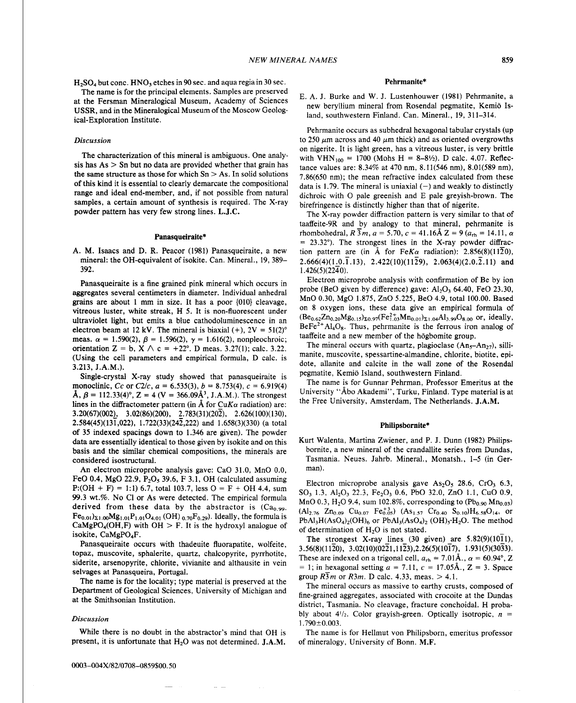$H_2SO_4$  but conc. HNO<sub>3</sub> etches in 90 sec. and aqua regia in 30 sec. Pehrmanite\*<br>The name is for the principal elements. Samples are preserved The name is for the principal elements. Samples are preserved E. A. J. Burke and W. J. Lustenhouwer (1981) Pehrmanite, a at the Fersman Mineralogical Museum, Academy of Sciences hew beryllium mineral from Rosendal pegmatit USSR, and in the Mineralogical Museum of the Moscow Geologland, southwestern Finland. Can. Mineral., 19, 311-314. ical-Exploration Institute.

#### Discussion

The characterization of this mineral is ambiguous. One analysis has  $As$   $>$  Sn but no data are provided whether that grain has the same structure as those for which  $Sn > As$ . In solid solutions of this kind it is essential to clearly demarcate the compositional range and ideal end-member, and, if not possible from natural samples, a certain amount of synthesis is required. The X-ray powder pattern has very few strong lines. **L.J.C.** 

#### Panasqueiraite\*

A. M. Isaacs and D. R. Peacor (1981) Panasqueiraite, a new mineral: the OH-equivalent of isokite. Can. Mineral., 19, 389- 392.

Panasqueiraite is a fine grained pink mineral which occurs in aggregates several centimeters in diameter. Individual anhedral grains are about 1 mm in size. It has a poor {010} cleavage, vitreous luster, white streak, H 5. It is non-fluorescent under ultraviolet light, but emits a blue cathodoluminescence in an electron beam at 12 kV. The mineral is biaxial  $(+)$ ,  $2V = 51(2)°$ meas.  $\alpha = 1.590(2)$ ,  $\beta = 1.596(2)$ ,  $\gamma = 1.616(2)$ , nonpleochroic; orientation Z = b, X  $\wedge$  c = +22°. D meas. 3.27(1); calc. 3.22. (Using the cell parameters and empirical formula, D calc. is 3.213, J.A.M.).

Single-crystal X-ray study showed that panasqueiraite is monoclinic, Cc or C2/c,  $a = 6.535(3)$ ,  $b = 8.753(4)$ ,  $c = 6.919(4)$  $\hat{A}$ ,  $\beta$  = 112.33(4)°, Z = 4 (V = 366.09 $\hat{A}$ <sup>3</sup>, J.A.M.). The strongest lines in the diffractometer pattern (in  $\AA$  for CuK $\alpha$  radiation) are:  $3.20(67)(002)$ ,  $3.02(86)(200)$ ,  $2.783(31)(202)$ ,  $2.626(100)(130)$ , 2.584(45)(131,022), 1.722(33)(242,222) and 1.658(3)(330) (a total of 35 indexed spacings down to 1.346 are given). The powder data are essentially identical to those given by isokite and on this basis and the similar chemical compositions, the minerals are considered isostructural.

An electron microprobe analysis gave: CaO 31.0, MnO 0.0, FeO 0.4, MgO 22.9,  $P_2O_5$  39.6, F 3.1, OH (calculated assuming  $P: (OH + F) = 1:1$  6.7, total 103.7, less  $O = F + OH$  4.4, sum 99.3 wt.%. No C1 or As were detected. The empirical formula derived from these data by the abstractor is  $(Ca_0, a_0)$ .  $Fe_{0.01}$ <sub> $\Sigma1.00$ </sub> $Mg_{1.01}P_{1.01}O_{4.01}$  (OH) <sub>0.70</sub>F<sub>0.29</sub>). Ideally, the formula is CaMgPO<sub>4</sub>(OH,F) with OH > F. It is the hydroxyl analogue of isokite, CaMgP0,F.

Panasqueiraite occurs with thadeuite fluorapatite, wolfeite, topaz, muscovite, sphalerite, quartz, chalcopyrite, pyrrhotite, siderite, arsenopyrite, chlorite, vivianite and althausite in vein selvages at Panasqueira, Portugal.

The name is for the locality; type material is preserved at the Department of Geological Sciences, University of Michigan and at the Smithsonian Institution.

While there is no doubt in the abstractor's mind that OH is The name is for Hellmut von Philipsborn, emeritus professor present, it is unfortunate that H20 was not determined. **J.A.M.** of mineralogy, University of Bonn. M.F.

Pehrmanite occurs as subhedral hexagonal tabular crystals (up to 250  $\mu$ m across and 40  $\mu$ m thick) and as oriented overgrowths on nigerite. It is light green, has a vitreous luster, is very brittle with  $VHN_{100} = 1700$  (Mohs H = 8-81/2). D calc. 4.07. Reflectance values are: 8.34% at 470 nm, 8.1 l(546 nm), 8.01(589 nm), 7.86(650 nm); the mean refractive index calculated from these data is 1.79. The mineral is uniaxial  $(-)$  and weakly to distinctly dichroic with *0* pale greenish and E pale greyish-brown. The birefringence is distinctly higher than that of nigerite.

The X-ray powder diffraction pattern is very similar to that of taaffeite-9R and by analogy to that mineral, pehrmanite is rhombohedral,  $R\bar{3}m$ ,  $a = 5.70$ ,  $c = 41.16\text{\AA}$   $Z = 9$  ( $a_{\text{rh}} = 14.11$ ,  $\alpha$  $= 23.32^{\circ}$ ). The strongest lines in the X-ray powder diffraction pattern are (in Å for FeK $\alpha$  radiation): 2.856(8)(1120), 2.666(4)(1.0.1.13), 2.422(10)(1129), 2.063(4)(2.0.2.11) and  $1.426(5)(22\overline{4}0)$ .

Electron microprobe analysis with confirmation of Be by ion probe (BeO given by difference) gave:  $Al_2O_3$  64.40, FeO 23.30, MnO 0.30, MgO 1.875, ZnO 5.225, Be0 4.9, total 100.00. Based on 8 oxygen ions, these data give an empirical formula of  $(Be_{0.62}Zn_{0.20}Mg_{0.15})_{\Sigma 0.97} (Fe_{1.03}^{2+}Mn_{0.01})_{\Sigma 1.04}Al_{3.99}O_{8.00}$  or, ideally,  $BeFe<sup>2+</sup>A<sub>4</sub>O<sub>8</sub>$ . Thus, pehrmanite is the ferrous iron analog of taaffeite and a new member of the hogbomite group.

The mineral occurs with quartz, plagioclase  $(An_{5}-An_{27})$ , sillimanite, muscovite, spessartine-almandine, chlorite, biotite, epidote, allanite and calcite in the wall zone of the Rosendal pegmatite, Kemio Island, southwestern Finland.

The name is for Gunnar Pehrman, Professor Emeritus at the University "Abo Akademi", Turku, Finland. Type material is at the Free University, Amsterdam, The Netherlands. **J.A.M.** 

# Philipsbornite\*

Kurt Walenta, Martina Zwiener, and P. J. Dunn (1982) Philipsbornite, a new mineral of the crandallite series from Dundas, Tasmania. Neues. Jahrb. Mineral., Monatsh., 1-5 (in German).

Electron microprobe analysis gave As<sub>2</sub>O<sub>5</sub> 28.6, CrO<sub>3</sub> 6.3, SO<sub>3</sub> 1.3, Al<sub>2</sub>O<sub>3</sub> 22.3, Fe<sub>2</sub>O<sub>3</sub> 0.6, PbO 32.0, ZnO 1.1, CuO 0.9, MnO 0.3, H<sub>2</sub>O 9.4, sum 102.8%, corresponding to (Pb<sub>0.90</sub> Mn<sub>0.03</sub>)  $(A1_{2.76}$  Zn<sub>0.09</sub> Cu<sub>0.07</sub> Fe<sub>0.05</sub>)  $(As_{1.57}$  Cr<sub>0.40</sub> S<sub>0.10</sub>)H<sub>6.58</sub>O<sub>14</sub>, or  $PbAl<sub>3</sub>H(AsO<sub>4</sub>)<sub>2</sub>(OH)<sub>6</sub>$  or  $PbAl<sub>3</sub>(AsO<sub>4</sub>)<sub>2</sub> (OH)<sub>5</sub>·H<sub>2</sub>O$ . The method of determination of  $H<sub>2</sub>O$  is not stated.

The strongest X-ray lines  $(30 \text{ given})$  are  $5.82(9)(1011)$ , 3.56(8)(1120), **3.02(10)(0221,1123),2.26(5)(1017),** 1.931(5)(3033). These are indexed on a trigonal cell,  $a_{\text{rh}} = 7.01 \text{\AA}$ .,  $\alpha = 60.94^{\circ}$ , Z  $= 1$ ; in hexagonal setting  $a = 7.11$ ,  $c = 17.05$ Å.,  $Z = 3$ . Space group  $R\overline{3}m$  or  $R\overline{3}m$ . D calc. 4.33, meas.  $> 4.1$ .

The mineral occurs as massive to earthy crusts, composed of fine-grained aggregates, associated with crocoite at the Dundas district, Tasmania. No cleavage, fracture conchoidal. H probably about  $4^{1/2}$ . Color grayish-green. Optically isotropic,  $n = 1.790 \pm 0.003$ .